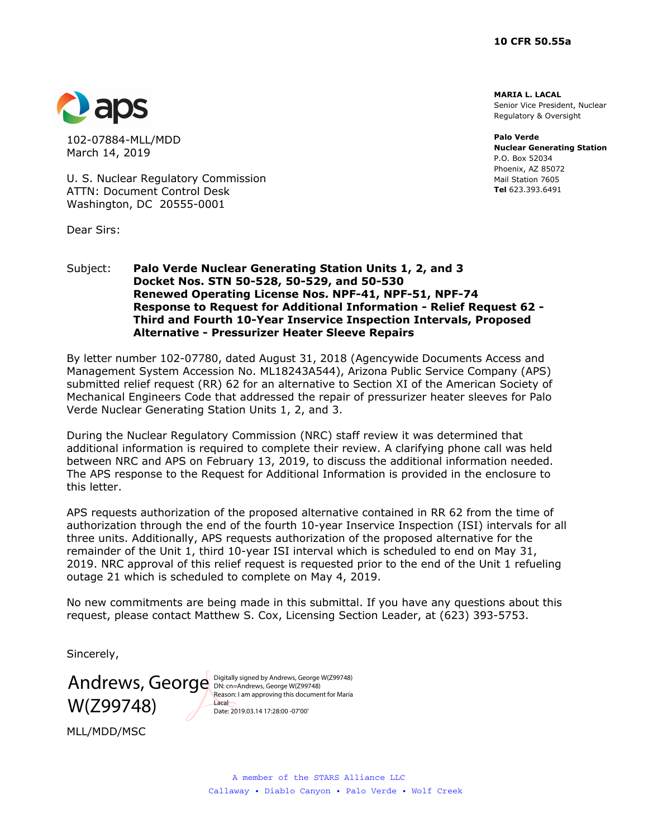**MARIA L. LACAL**  Senior Vice President, Nuclear Regulatory & Oversight

**Palo Verde Nuclear Generating Station**  P.O. Box 52034 Phoenix, AZ 85072 Mail Station 7605 **Tel** 623.393.6491



102-07884-MLL/MDD March 14, 2019

U. S. Nuclear Regulatory Commission ATTN: Document Control Desk Washington, DC 20555-0001

Dear Sirs:

### Subject: **Palo Verde Nuclear Generating Station Units 1, 2, and 3 Docket Nos. STN 50-528, 50-529, and 50-530 Renewed Operating License Nos. NPF-41, NPF-51, NPF-74 Response to Request for Additional Information - Relief Request 62 - Third and Fourth 10-Year Inservice Inspection Intervals, Proposed Alternative - Pressurizer Heater Sleeve Repairs**

By letter number 102-07780, dated August 31, 2018 (Agencywide Documents Access and Management System Accession No. ML18243A544), Arizona Public Service Company (APS) submitted relief request (RR) 62 for an alternative to Section XI of the American Society of Mechanical Engineers Code that addressed the repair of pressurizer heater sleeves for Palo Verde Nuclear Generating Station Units 1, 2, and 3.

During the Nuclear Regulatory Commission (NRC) staff review it was determined that additional information is required to complete their review. A clarifying phone call was held between NRC and APS on February 13, 2019, to discuss the additional information needed. The APS response to the Request for Additional Information is provided in the enclosure to this letter.

APS requests authorization of the proposed alternative contained in RR 62 from the time of authorization through the end of the fourth 10-year Inservice Inspection (ISI) intervals for all three units. Additionally, APS requests authorization of the proposed alternative for the remainder of the Unit 1, third 10-year ISI interval which is scheduled to end on May 31, 2019. NRC approval of this relief request is requested prior to the end of the Unit 1 refueling outage 21 which is scheduled to complete on May 4, 2019.

No new commitments are being made in this submittal. If you have any questions about this request, please contact Matthew S. Cox, Licensing Section Leader, at (623) 393-5753.

Sincerely,

W(Z99748)

Andrews, George Digitally signed by Andrews, George W(Z99748) Reason: I am approving this document for Maria Lacal Date: 2019.03.14 17:28:00 -07'00'

MLL/MDD/MSC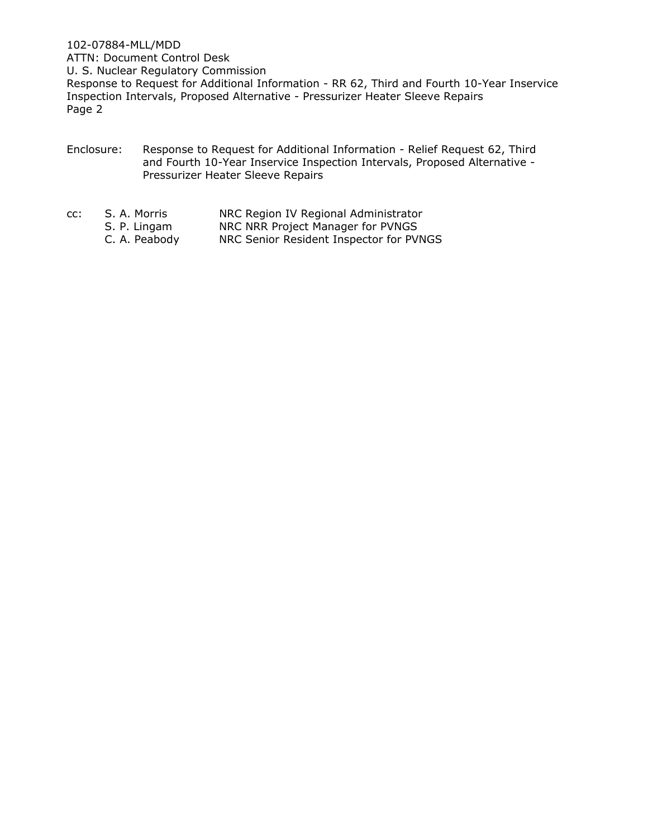102-07884-MLL/MDD ATTN: Document Control Desk U. S. Nuclear Regulatory Commission Response to Request for Additional Information - RR 62, Third and Fourth 10-Year Inservice Inspection Intervals, Proposed Alternative - Pressurizer Heater Sleeve Repairs Page 2

- Enclosure: Response to Request for Additional Information Relief Request 62, Third and Fourth 10-Year Inservice Inspection Intervals, Proposed Alternative - Pressurizer Heater Sleeve Repairs
- cc: S. A. Morris NRC Region IV Regional Administrator
	- S. P. Lingam NRC NRR Project Manager for PVNGS
	- C. A. Peabody NRC Senior Resident Inspector for PVNGS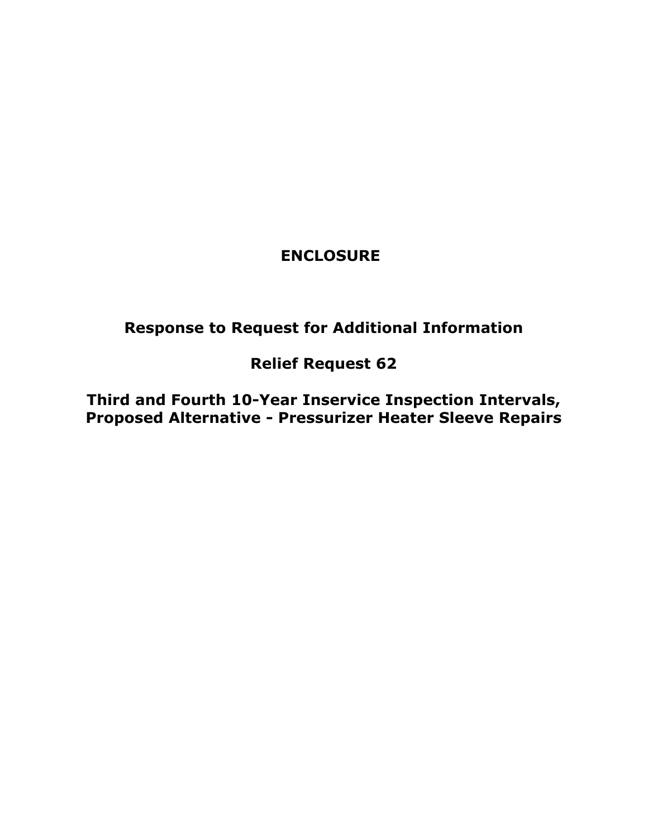## **ENCLOSURE**

# **Response to Request for Additional Information**

# **Relief Request 62**

**Third and Fourth 10-Year Inservice Inspection Intervals, Proposed Alternative - Pressurizer Heater Sleeve Repairs**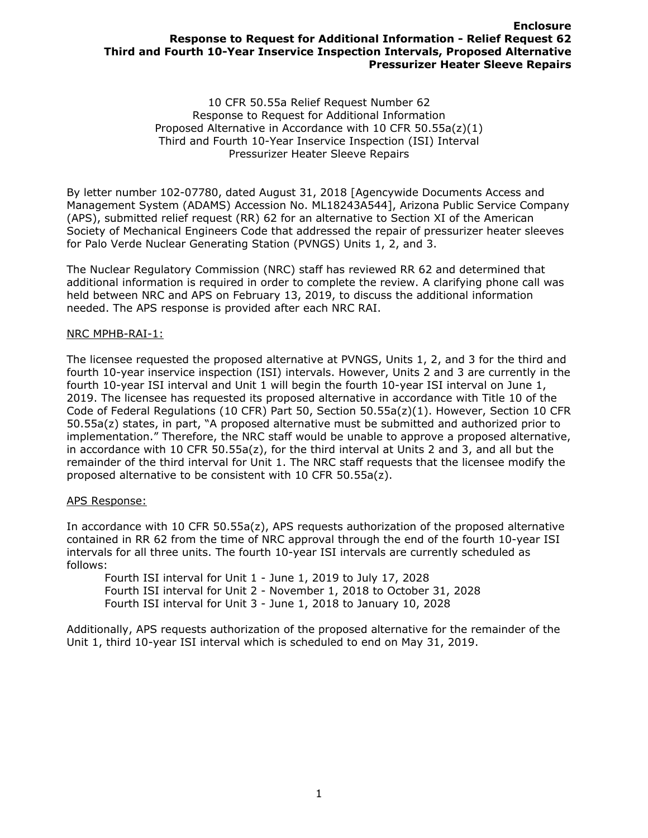### **Enclosure Response to Request for Additional Information - Relief Request 62 Third and Fourth 10-Year Inservice Inspection Intervals, Proposed Alternative Pressurizer Heater Sleeve Repairs**

10 CFR 50.55a Relief Request Number 62 Response to Request for Additional Information Proposed Alternative in Accordance with 10 CFR 50.55a(z)(1) Third and Fourth 10-Year Inservice Inspection (ISI) Interval Pressurizer Heater Sleeve Repairs

By letter number 102-07780, dated August 31, 2018 [Agencywide Documents Access and Management System (ADAMS) Accession No. ML18243A544], Arizona Public Service Company (APS), submitted relief request (RR) 62 for an alternative to Section XI of the American Society of Mechanical Engineers Code that addressed the repair of pressurizer heater sleeves for Palo Verde Nuclear Generating Station (PVNGS) Units 1, 2, and 3.

The Nuclear Regulatory Commission (NRC) staff has reviewed RR 62 and determined that additional information is required in order to complete the review. A clarifying phone call was held between NRC and APS on February 13, 2019, to discuss the additional information needed. The APS response is provided after each NRC RAI.

#### NRC MPHB-RAI-1:

The licensee requested the proposed alternative at PVNGS, Units 1, 2, and 3 for the third and fourth 10-year inservice inspection (ISI) intervals. However, Units 2 and 3 are currently in the fourth 10-year ISI interval and Unit 1 will begin the fourth 10-year ISI interval on June 1, 2019. The licensee has requested its proposed alternative in accordance with Title 10 of the Code of Federal Regulations (10 CFR) Part 50, Section 50.55a(z)(1). However, Section 10 CFR 50.55a(z) states, in part, "A proposed alternative must be submitted and authorized prior to implementation." Therefore, the NRC staff would be unable to approve a proposed alternative, in accordance with 10 CFR 50.55a(z), for the third interval at Units 2 and 3, and all but the remainder of the third interval for Unit 1. The NRC staff requests that the licensee modify the proposed alternative to be consistent with 10 CFR 50.55a(z).

#### APS Response:

In accordance with 10 CFR 50.55a(z), APS requests authorization of the proposed alternative contained in RR 62 from the time of NRC approval through the end of the fourth 10-year ISI intervals for all three units. The fourth 10-year ISI intervals are currently scheduled as follows:

Fourth ISI interval for Unit 1 - June 1, 2019 to July 17, 2028 Fourth ISI interval for Unit 2 - November 1, 2018 to October 31, 2028 Fourth ISI interval for Unit 3 - June 1, 2018 to January 10, 2028

Additionally, APS requests authorization of the proposed alternative for the remainder of the Unit 1, third 10-year ISI interval which is scheduled to end on May 31, 2019.